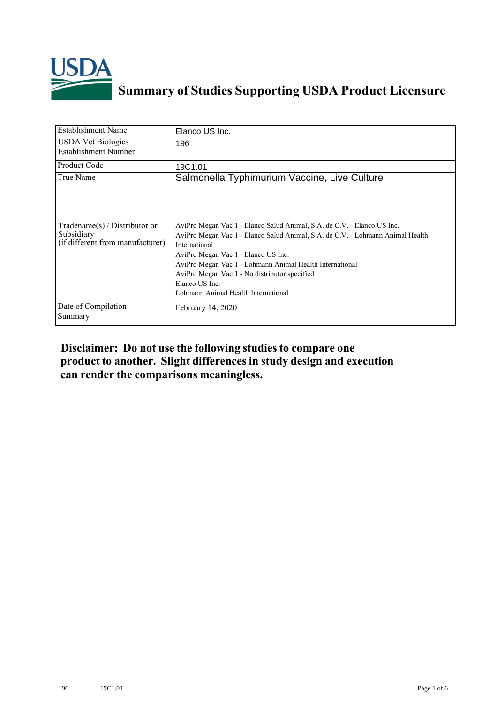

## **Summary of Studies Supporting USDA Product Licensure**

| <b>Establishment Name</b>                                                          | Elanco US Inc.                                                                                                                                                                                                                                                                                                                                                                          |
|------------------------------------------------------------------------------------|-----------------------------------------------------------------------------------------------------------------------------------------------------------------------------------------------------------------------------------------------------------------------------------------------------------------------------------------------------------------------------------------|
| <b>USDA Vet Biologics</b><br>Establishment Number                                  | 196                                                                                                                                                                                                                                                                                                                                                                                     |
| <b>Product Code</b>                                                                | 19C1.01                                                                                                                                                                                                                                                                                                                                                                                 |
| True Name                                                                          | Salmonella Typhimurium Vaccine, Live Culture                                                                                                                                                                                                                                                                                                                                            |
| Tradename $(s)$ / Distributor or<br>Subsidiary<br>(if different from manufacturer) | AviPro Megan Vac 1 - Elanco Salud Animal, S.A. de C.V. - Elanco US Inc.<br>AviPro Megan Vac 1 - Elanco Salud Animal, S.A. de C.V. - Lohmann Animal Health<br>International<br>AviPro Megan Vac 1 - Elanco US Inc.<br>AviPro Megan Vac 1 - Lohmann Animal Health International<br>AviPro Megan Vac 1 - No distributor specified<br>Elanco US Inc.<br>Lohmann Animal Health International |
| Date of Compilation<br>Summary                                                     | February 14, 2020                                                                                                                                                                                                                                                                                                                                                                       |

## **Disclaimer: Do not use the following studiesto compare one product to another. Slight differencesin study design and execution can render the comparisons meaningless.**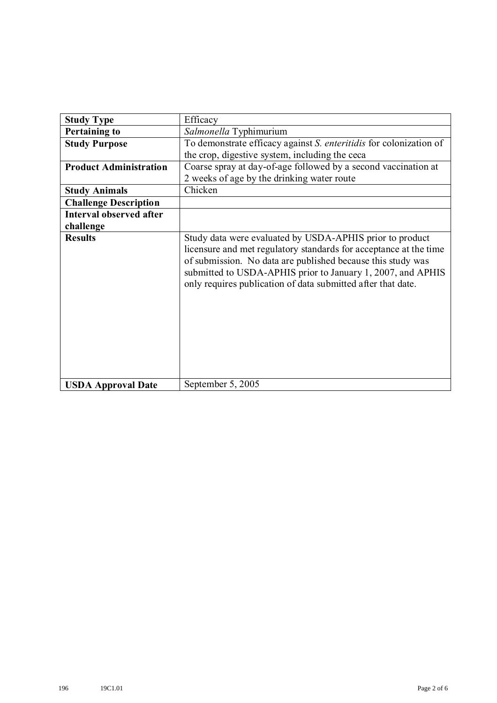| <b>Study Type</b>             | Efficacy                                                                                                                                                                                                                                                                                                                    |
|-------------------------------|-----------------------------------------------------------------------------------------------------------------------------------------------------------------------------------------------------------------------------------------------------------------------------------------------------------------------------|
| <b>Pertaining to</b>          | Salmonella Typhimurium                                                                                                                                                                                                                                                                                                      |
| <b>Study Purpose</b>          | To demonstrate efficacy against S. enteritidis for colonization of<br>the crop, digestive system, including the ceca                                                                                                                                                                                                        |
| <b>Product Administration</b> | Coarse spray at day-of-age followed by a second vaccination at                                                                                                                                                                                                                                                              |
|                               | 2 weeks of age by the drinking water route                                                                                                                                                                                                                                                                                  |
| <b>Study Animals</b>          | Chicken                                                                                                                                                                                                                                                                                                                     |
| <b>Challenge Description</b>  |                                                                                                                                                                                                                                                                                                                             |
| Interval observed after       |                                                                                                                                                                                                                                                                                                                             |
| challenge                     |                                                                                                                                                                                                                                                                                                                             |
| <b>Results</b>                | Study data were evaluated by USDA-APHIS prior to product<br>licensure and met regulatory standards for acceptance at the time<br>of submission. No data are published because this study was<br>submitted to USDA-APHIS prior to January 1, 2007, and APHIS<br>only requires publication of data submitted after that date. |
| <b>USDA Approval Date</b>     | September 5, 2005                                                                                                                                                                                                                                                                                                           |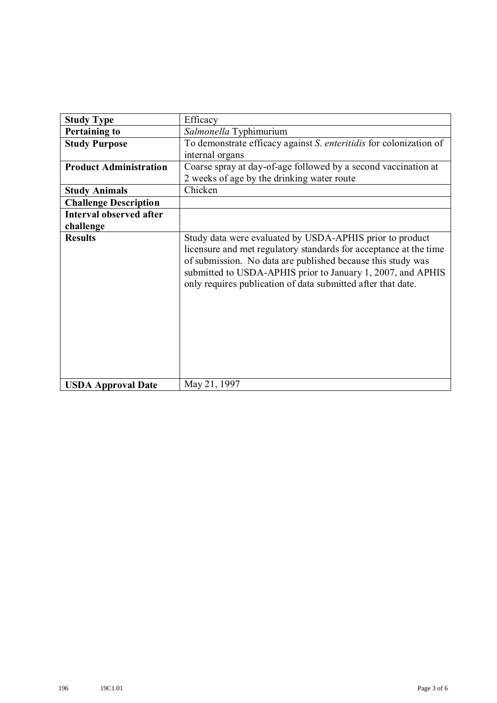| <b>Study Type</b>             | Efficacy                                                                                                                                                                                                                                                                                                                    |
|-------------------------------|-----------------------------------------------------------------------------------------------------------------------------------------------------------------------------------------------------------------------------------------------------------------------------------------------------------------------------|
| <b>Pertaining to</b>          | Salmonella Typhimurium                                                                                                                                                                                                                                                                                                      |
| <b>Study Purpose</b>          | To demonstrate efficacy against S. enteritidis for colonization of<br>internal organs                                                                                                                                                                                                                                       |
| <b>Product Administration</b> | Coarse spray at day-of-age followed by a second vaccination at<br>2 weeks of age by the drinking water route                                                                                                                                                                                                                |
| <b>Study Animals</b>          | Chicken                                                                                                                                                                                                                                                                                                                     |
| <b>Challenge Description</b>  |                                                                                                                                                                                                                                                                                                                             |
| Interval observed after       |                                                                                                                                                                                                                                                                                                                             |
| challenge                     |                                                                                                                                                                                                                                                                                                                             |
| <b>Results</b>                | Study data were evaluated by USDA-APHIS prior to product<br>licensure and met regulatory standards for acceptance at the time<br>of submission. No data are published because this study was<br>submitted to USDA-APHIS prior to January 1, 2007, and APHIS<br>only requires publication of data submitted after that date. |
| <b>USDA Approval Date</b>     | May 21, 1997                                                                                                                                                                                                                                                                                                                |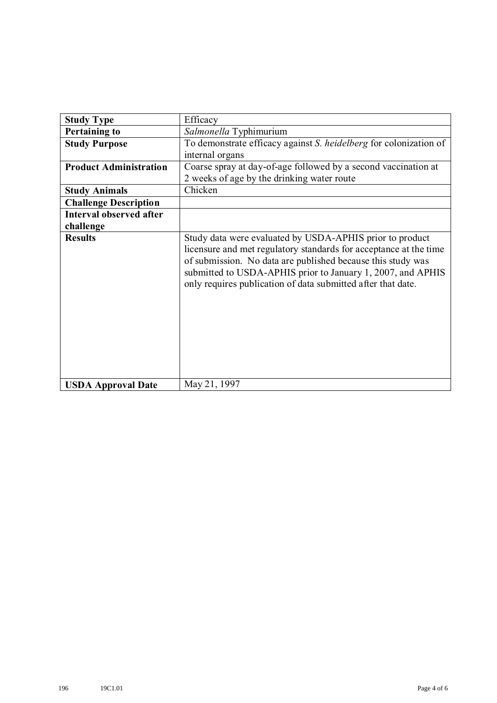| <b>Study Type</b>             | Efficacy                                                                                                                                                                                                                                                                                                                    |
|-------------------------------|-----------------------------------------------------------------------------------------------------------------------------------------------------------------------------------------------------------------------------------------------------------------------------------------------------------------------------|
| <b>Pertaining to</b>          | Salmonella Typhimurium                                                                                                                                                                                                                                                                                                      |
| <b>Study Purpose</b>          | To demonstrate efficacy against S. heidelberg for colonization of                                                                                                                                                                                                                                                           |
|                               | internal organs                                                                                                                                                                                                                                                                                                             |
| <b>Product Administration</b> | Coarse spray at day-of-age followed by a second vaccination at                                                                                                                                                                                                                                                              |
|                               | 2 weeks of age by the drinking water route                                                                                                                                                                                                                                                                                  |
| <b>Study Animals</b>          | Chicken                                                                                                                                                                                                                                                                                                                     |
| <b>Challenge Description</b>  |                                                                                                                                                                                                                                                                                                                             |
| Interval observed after       |                                                                                                                                                                                                                                                                                                                             |
| challenge                     |                                                                                                                                                                                                                                                                                                                             |
| <b>Results</b>                | Study data were evaluated by USDA-APHIS prior to product<br>licensure and met regulatory standards for acceptance at the time<br>of submission. No data are published because this study was<br>submitted to USDA-APHIS prior to January 1, 2007, and APHIS<br>only requires publication of data submitted after that date. |
| <b>USDA Approval Date</b>     | May 21, 1997                                                                                                                                                                                                                                                                                                                |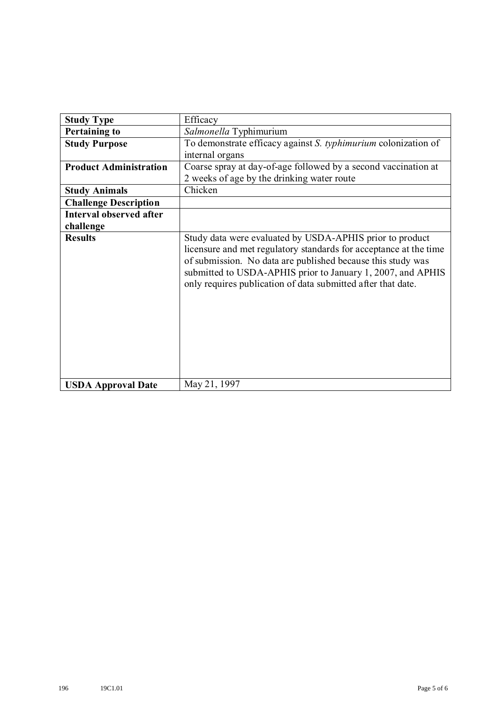| <b>Study Type</b>             | Efficacy                                                                                                                                                                                                                                                                                                                    |
|-------------------------------|-----------------------------------------------------------------------------------------------------------------------------------------------------------------------------------------------------------------------------------------------------------------------------------------------------------------------------|
| <b>Pertaining to</b>          | Salmonella Typhimurium                                                                                                                                                                                                                                                                                                      |
| <b>Study Purpose</b>          | To demonstrate efficacy against S. typhimurium colonization of<br>internal organs                                                                                                                                                                                                                                           |
| <b>Product Administration</b> | Coarse spray at day-of-age followed by a second vaccination at<br>2 weeks of age by the drinking water route                                                                                                                                                                                                                |
| <b>Study Animals</b>          | Chicken                                                                                                                                                                                                                                                                                                                     |
| <b>Challenge Description</b>  |                                                                                                                                                                                                                                                                                                                             |
| Interval observed after       |                                                                                                                                                                                                                                                                                                                             |
| challenge                     |                                                                                                                                                                                                                                                                                                                             |
| <b>Results</b>                | Study data were evaluated by USDA-APHIS prior to product<br>licensure and met regulatory standards for acceptance at the time<br>of submission. No data are published because this study was<br>submitted to USDA-APHIS prior to January 1, 2007, and APHIS<br>only requires publication of data submitted after that date. |
| <b>USDA Approval Date</b>     | May 21, 1997                                                                                                                                                                                                                                                                                                                |